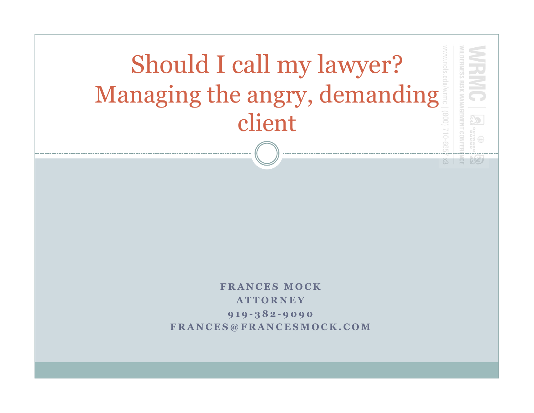

**FRANCES MOCK ATTORNEY 919-382-9090 FRANCES@FRANCESMOCK.COM**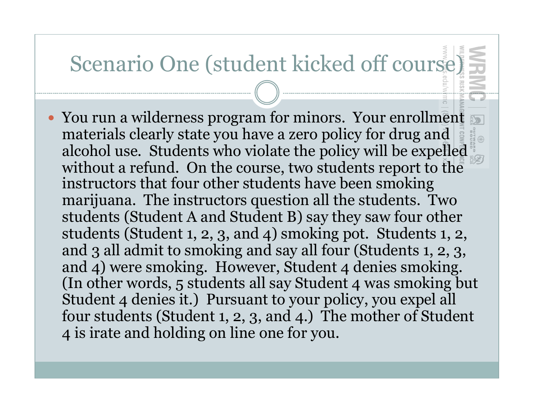#### Scenario One (student kicked off course)

• You run a wilderness program for minors. Your enrollment materials clearly state you have a zero policy for drug and alcohol use. Students who violate the policy will be expelled without a refund. On the course, two students report to the instructors that four other students have been smoking marijuana. The instructors question all the students. Two students (Student A and Student B) say they saw four other students (Student 1, 2, 3, and 4) smoking pot. Students 1, 2, and 3 all admit to smoking and say all four (Students 1, 2, 3, and 4) were smoking. However, Student 4 denies smoking. (In other words, 5 students all say Student 4 was smoking but Student 4 denies it.) Pursuant to your policy, you expel all four students (Student 1, 2, 3, and 4.) The mother of Student 4 is irate and holding on line one for you.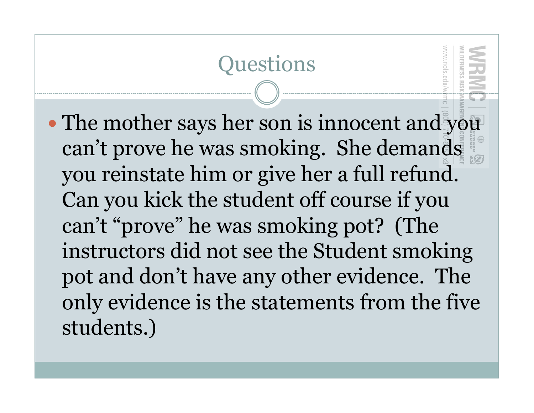### **Questions**

• The mother says her son is innocent and you can't prove he was smoking. She demands you reinstate him or give her a full refund. Can you kick the student off course if you can't "prove" he was smoking pot? (The instructors did not see the Student smoking pot and don't have any other evidence. The only evidence is the statements from the five students.)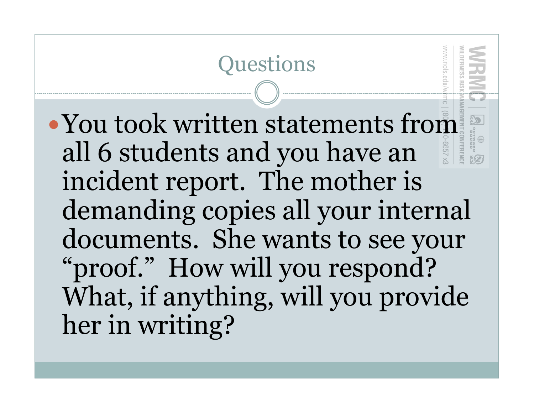**Questions** • You took written statements from all 6 students and you have an incident report. The mother is demanding copies all your internal documents. She wants to see your "proof." How will you respond? What, if anything, will you provide her in writing?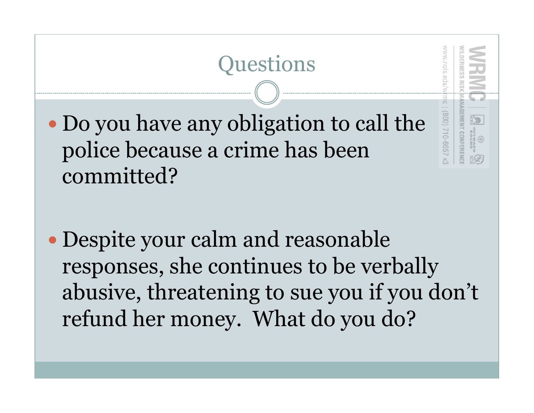

• Despite your calm and reasonable responses, she continues to be verbally abusive, threatening to sue you if you don't refund her money. What do you do?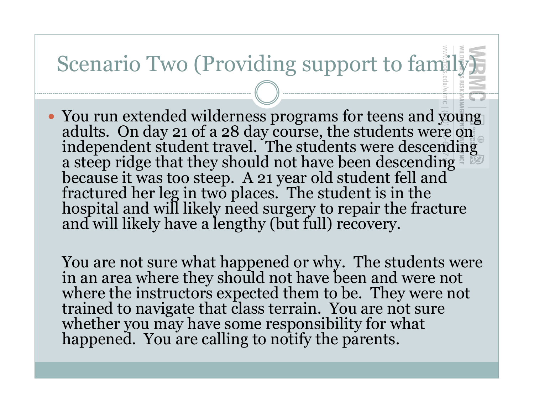## Scenario Two (Providing support to family

 You run extended wilderness programs for teens and young adults. On day 21 of a 28 day course, the students were on independent student travel. The students were descending a steep ridge that they should not have been descending because it was too steep. A 21 year old student fell and fractured her leg in two places. The student is in the hospital and will likely need surgery to repair the fracture and will likely have a lengthy (but full) recovery.

You are not sure what happened or why. The students were in an area where they should not have been and were not where the instructors expected them to be. They were not trained to navigate that class terrain. You are not sure whether you may have some responsibility for what happened. You are calling to notify the parents.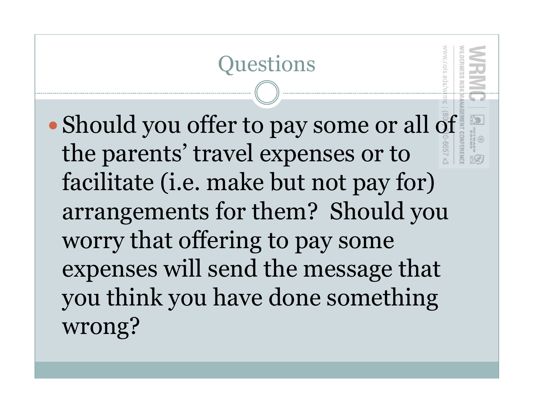# **Questions** • Should you offer to pay some or all of **CHANTUS** the parents' travel expenses or to facilitate (i.e. make but not pay for) arrangements for them? Should you worry that offering to pay some expenses will send the message that you think you have done something wrong?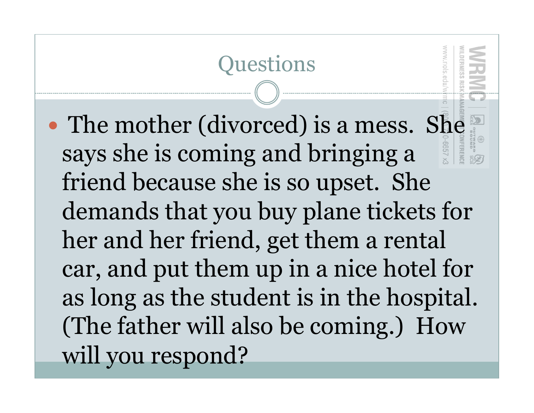# **Ouestions** • The mother (divorced) is a mess. She says she is coming and bringing a friend because she is so upset. She demands that you buy plane tickets for her and her friend, get them a rental car, and put them up in a nice hotel for as long as the student is in the hospital. (The father will also be coming.) How will you respond?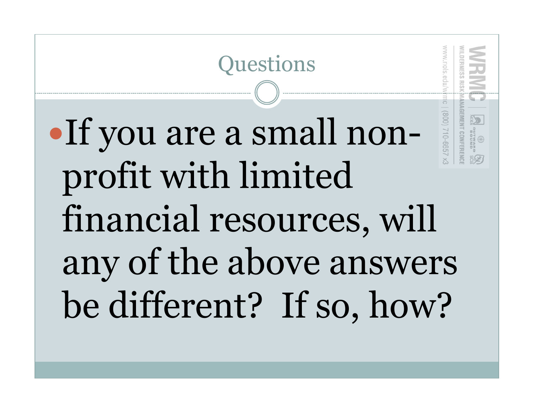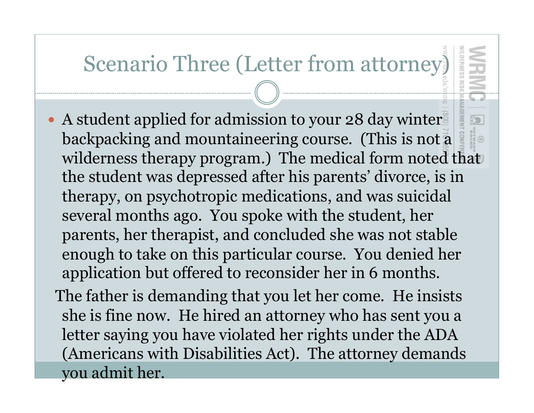#### Scenario Three (Letter from attorney)

- A student applied for admission to your 28 day winters backpacking and mountaineering course. (This is not a wilderness therapy program.) The medical form noted that the student was depressed after his parents' divorce, is in therapy, on psychotropic medications, and was suicidal several months ago. You spoke with the student, her parents, her therapist, and concluded she was not stable enough to take on this particular course. You denied her application but offered to reconsider her in 6 months.
	- The father is demanding that you let her come. He insists she is fine now. He hired an attorney who has sent you a letter saying you have violated her rights under the ADA (Americans with Disabilities Act). The attorney demands you admit her.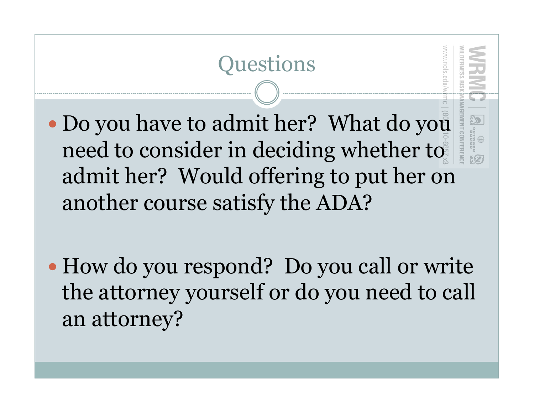

the attorney yourself or do you need to call an attorney?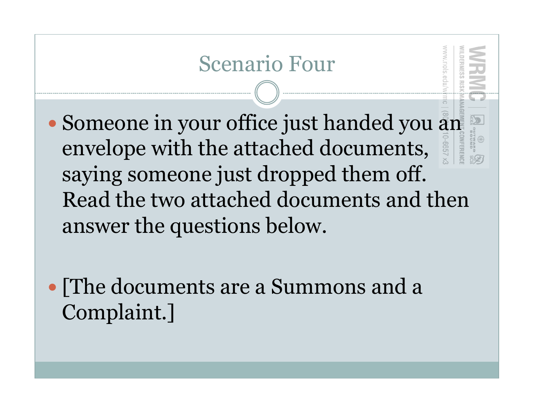### Scenario Four

- Someone in your office just handed you an envelope with the attached documents, saying someone just dropped them off. Read the two attached documents and then answer the questions below.
- The documents are a Summons and a Complaint.]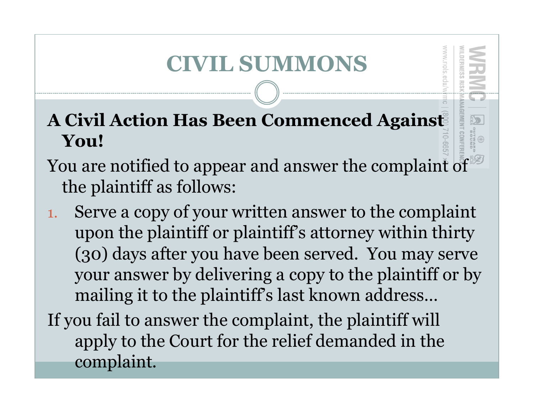### **CIVIL SUMMONS**

#### A Civil Action Has Been Commenced Against **You!**

- You are notified to appear and answer the complaint of the plaintiff as follows:
- 1. Serve a copy of your written answer to the complaint upon the plaintiff or plaintiff's attorney within thirty (30) days after you have been served. You may serve your answer by delivering a copy to the plaintiff or by mailing it to the plaintiff's last known address…
- If you fail to answer the complaint, the plaintiff will apply to the Court for the relief demanded in the complaint.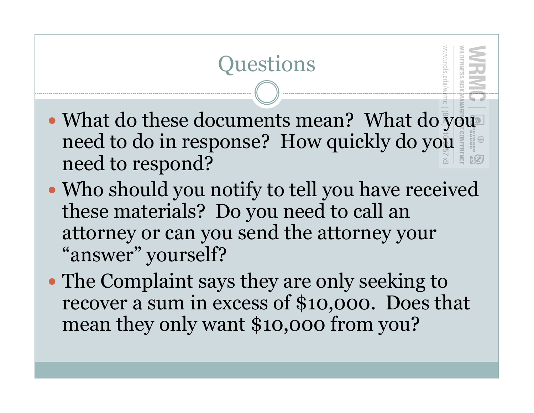

- Who should you notify to tell you have received these materials? Do you need to call an attorney or can you send the attorney your "answer" yourself?
- The Complaint says they are only seeking to recover a sum in excess of \$10,000. Does that mean they only want \$10,000 from you?